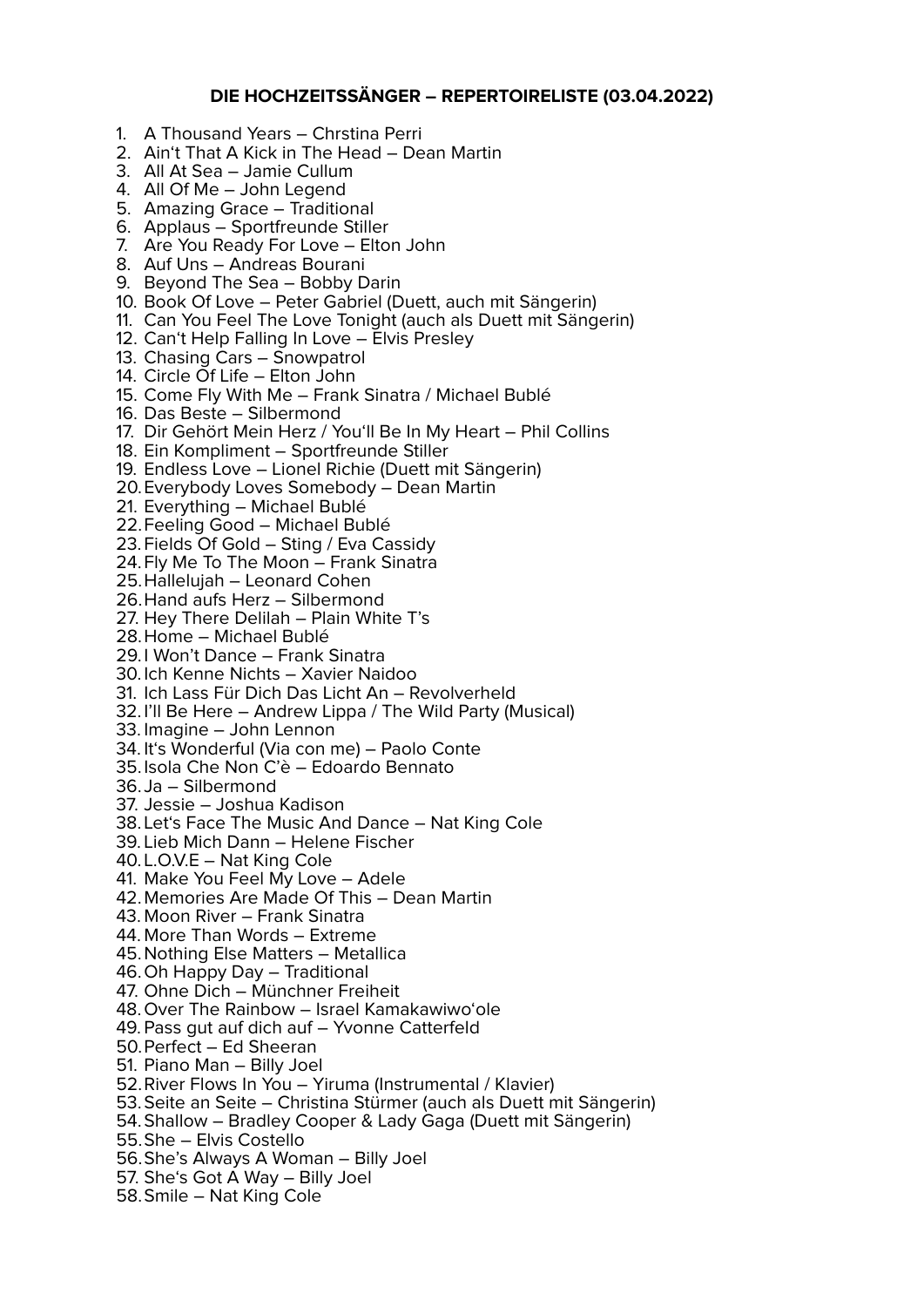## **DIE HOCHZEITSSÄNGER – REPERTOIRELISTE (03.04.2022)**

- 1. A Thousand Years Chrstina Perri
- 2. Ain't That A Kick in The Head Dean Martin
- 3. All At Sea Jamie Cullum
- 4. All Of Me John Legend
- 5. Amazing Grace Traditional
- 6. Applaus Sportfreunde Stiller
- 7. Are You Ready For Love Elton John
- 8. Auf Uns Andreas Bourani
- 9. Beyond The Sea Bobby Darin
- 10. Book Of Love Peter Gabriel (Duett, auch mit Sängerin)
- 11. Can You Feel The Love Tonight (auch als Duett mit Sängerin)
- 12. Can't Help Falling In Love Elvis Presley
- 13. Chasing Cars Snowpatrol
- 14. Circle Of Life Elton John
- 15. Come Fly With Me Frank Sinatra / Michael Bublé
- 16. Das Beste Silbermond
- 17. Dir Gehört Mein Herz / You'll Be In My Heart Phil Collins
- 18. Ein Kompliment Sportfreunde Stiller
- 19. Endless Love Lionel Richie (Duett mit Sängerin)
- 20.Everybody Loves Somebody Dean Martin
- 21. Everything Michael Bublé
- 22.Feeling Good Michael Bublé
- 23.Fields Of Gold Sting / Eva Cassidy
- 24.Fly Me To The Moon Frank Sinatra
- 25.Hallelujah Leonard Cohen
- 26.Hand aufs Herz Silbermond
- 27. Hey There Delilah Plain White T's
- 28.Home Michael Bublé
- 29. I Won't Dance Frank Sinatra
- 30. Ich Kenne Nichts Xavier Naidoo
- 31. Ich Lass Für Dich Das Licht An Revolverheld
- 32. I'll Be Here Andrew Lippa / The Wild Party (Musical)
- 33. Imagine John Lennon
- 34. It's Wonderful (Via con me) Paolo Conte
- 35. Isola Che Non C'è Edoardo Bennato
- 36. Ja Silbermond
- 37. Jessie Joshua Kadison
- 38. Let's Face The Music And Dance Nat King Cole
- 39. Lieb Mich Dann Helene Fischer
- 40. L.O.V.E Nat King Cole
- 41. Make You Feel My Love Adele
- 42.Memories Are Made Of This Dean Martin
- 43. Moon River Frank Sinatra
- 44. More Than Words Extreme
- 45.Nothing Else Matters Metallica
- 46.Oh Happy Day Traditional
- 47. Ohne Dich Münchner Freiheit
- 48.Over The Rainbow Israel Kamakawiwo'ole
- 49. Pass gut auf dich auf Yvonne Catterfeld
- 50.Perfect Ed Sheeran
- 51. Piano Man Billy Joel
- 52.River Flows In You Yiruma (Instrumental / Klavier)
- 53.Seite an Seite Christina Stürmer (auch als Duett mit Sängerin)
- 54.Shallow Bradley Cooper & Lady Gaga (Duett mit Sängerin)
- 55.She Elvis Costello
- 56.She's Always A Woman Billy Joel
- 57. She's Got A Way Billy Joel
- 58.Smile Nat King Cole